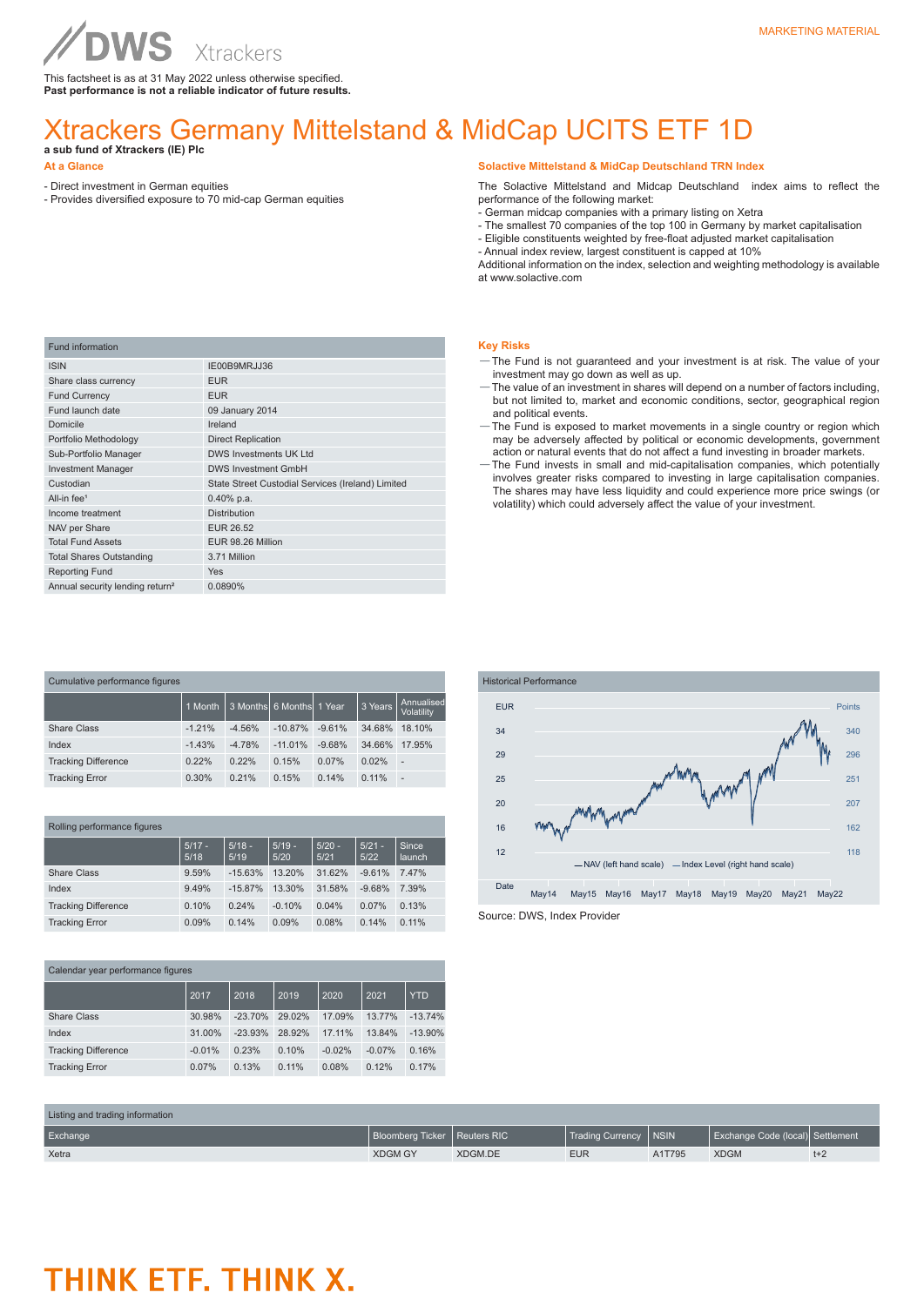This factsheet is as at 31 May 2022 unless otherwise specified. **Past performance is not a reliable indicator of future results.**

### Xtrackers Germany Mittelstand & MidCap UCITS ETF 1D

- **a sub fund of Xtrackers (IE) Plc**
- **At a Glance**

- Direct investment in German equities
- Provides diversified exposure to 70 mid-cap German equities

**Solactive Mittelstand & MidCap Deutschland TRN Index**

The Solactive Mittelstand and Midcap Deutschland index aims to reflect the performance of the following market:

- German midcap companies with a primary listing on Xetra
- The smallest 70 companies of the top 100 in Germany by market capitalisation
- Eligible constituents weighted by free-float adjusted market capitalisation
- Annual index review, largest constituent is capped at 10%

Additional information on the index, selection and weighting methodology is available at www.solactive.com

| <b>Fund information</b>                     |                                                   |
|---------------------------------------------|---------------------------------------------------|
| <b>ISIN</b>                                 | IE00B9MRJJ36                                      |
| Share class currency                        | <b>EUR</b>                                        |
| <b>Fund Currency</b>                        | <b>EUR</b>                                        |
| Fund launch date                            | 09 January 2014                                   |
| Domicile                                    | Ireland                                           |
| Portfolio Methodology                       | <b>Direct Replication</b>                         |
| Sub-Portfolio Manager                       | <b>DWS Investments UK Ltd</b>                     |
| <b>Investment Manager</b>                   | <b>DWS Investment GmbH</b>                        |
| Custodian                                   | State Street Custodial Services (Ireland) Limited |
| All-in fee <sup>1</sup>                     | $0.40\%$ p.a.                                     |
| Income treatment                            | <b>Distribution</b>                               |
| NAV per Share                               | EUR 26.52                                         |
| <b>Total Fund Assets</b>                    | EUR 98.26 Million                                 |
| <b>Total Shares Outstanding</b>             | 3.71 Million                                      |
| <b>Reporting Fund</b>                       | <b>Yes</b>                                        |
| Annual security lending return <sup>2</sup> | 0.0890%                                           |

| Cumulative performance figures |          |                            |           |          |         |                          |
|--------------------------------|----------|----------------------------|-----------|----------|---------|--------------------------|
|                                | 1 Month  | 3 Months 66 Months 11 Year |           |          | 3 Years | Annualised<br>Volatility |
| Share Class                    | $-1.21%$ | $-4.56%$                   | $-10.87%$ | $-9.61%$ | 34.68%  | 18.10%                   |
| Index                          | $-1.43%$ | $-4.78%$                   | $-11.01%$ | $-9.68%$ | 34.66%  | 17.95%                   |
| <b>Tracking Difference</b>     | 0.22%    | 0.22%                      | 0.15%     | 0.07%    | 0.02%   | ٠                        |
| <b>Tracking Error</b>          | 0.30%    | 0.21%                      | 0.15%     | 0.14%    | 0.11%   | $\overline{a}$           |

| Rolling performance figures |                  |                  |                  |                  |                  |                 |
|-----------------------------|------------------|------------------|------------------|------------------|------------------|-----------------|
|                             | $5/17 -$<br>5/18 | $5/18 -$<br>5/19 | $5/19 -$<br>5/20 | $5/20 -$<br>5/21 | $5/21 -$<br>5/22 | Since<br>launch |
| Share Class                 | 9.59%            | $-15.63%$        | 13.20%           | 31.62%           | $-9.61%$         | 7.47%           |
| Index                       | 9.49%            | $-15.87%$        | 13.30%           | 31.58%           | $-9.68%$         | 7.39%           |
| <b>Tracking Difference</b>  | 0.10%            | 0.24%            | $-0.10%$         | 0.04%            | 0.07%            | 0.13%           |
| <b>Tracking Error</b>       | 0.09%            | 0.14%            | 0.09%            | 0.08%            | 0.14%            | 0.11%           |

| Calendar year performance figures |          |           |        |          |          |            |
|-----------------------------------|----------|-----------|--------|----------|----------|------------|
|                                   | 2017     | 2018      | 2019   | 2020     | 2021     | <b>YTD</b> |
| <b>Share Class</b>                | 30.98%   | $-23.70%$ | 29.02% | 17.09%   | 13.77%   | $-13.74%$  |
| Index                             | 31.00%   | $-23.93%$ | 28.92% | 17.11%   | 13.84%   | $-13.90%$  |
| <b>Tracking Difference</b>        | $-0.01%$ | 0.23%     | 0.10%  | $-0.02%$ | $-0.07%$ | 0.16%      |
| <b>Tracking Error</b>             | 0.07%    | 0.13%     | 0.11%  | 0.08%    | 0.12%    | 0.17%      |

### **Key Risks**

- —The Fund is not guaranteed and your investment is at risk. The value of your investment may go down as well as up.
- —The value of an investment in shares will depend on a number of factors including, but not limited to, market and economic conditions, sector, geographical region and political events.
- —The Fund is exposed to market movements in a single country or region which may be adversely affected by political or economic developments, government action or natural events that do not affect a fund investing in broader markets.
- —The Fund invests in small and mid-capitalisation companies, which potentially involves greater risks compared to investing in large capitalisation companies. The shares may have less liquidity and could experience more price swings (or volatility) which could adversely affect the value of your investment.



| Listing and trading information |                                |         |                         |        |                                  |       |
|---------------------------------|--------------------------------|---------|-------------------------|--------|----------------------------------|-------|
| Exchange                        | Bloomberg Ticker   Reuters RIC |         | Trading Currency   NSIN |        | Exchange Code (local) Settlement |       |
| Xetra                           | <b>XDGM GY</b>                 | XDGM.DE | <b>EUR</b>              | A1T795 | <b>XDGM</b>                      | $t+2$ |

### MARKETING MATERIAL

# THINK ETF. THINK X.